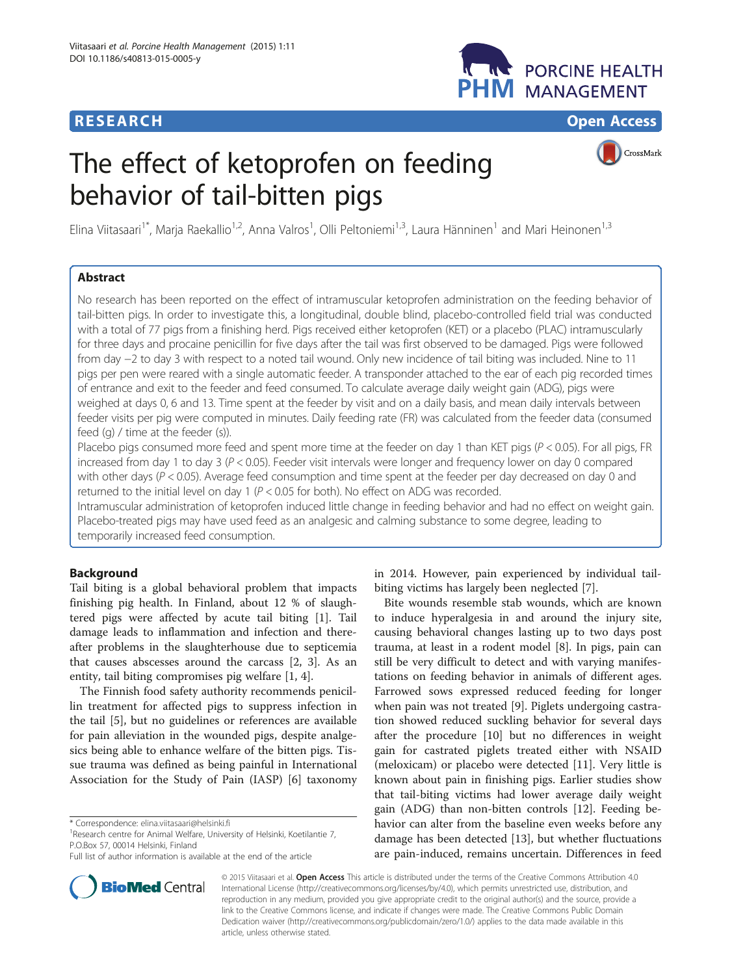## **RESEARCH CHEAR CHEAR CHEAR CHEAR CHEAR CHEAR CHEAR CHEAR CHEAR CHEAR CHEAR CHEAR CHEAR CHEAR CHEAR CHEAR CHEAR**



# The effect of ketoprofen on feeding behavior of tail-bitten pigs



Elina Viitasaari<sup>1\*</sup>, Marja Raekallio<sup>1,2</sup>, Anna Valros<sup>1</sup>, Olli Peltoniemi<sup>1,3</sup>, Laura Hänninen<sup>1</sup> and Mari Heinonen<sup>1,3</sup>

## Abstract

No research has been reported on the effect of intramuscular ketoprofen administration on the feeding behavior of tail-bitten pigs. In order to investigate this, a longitudinal, double blind, placebo-controlled field trial was conducted with a total of 77 pigs from a finishing herd. Pigs received either ketoprofen (KET) or a placebo (PLAC) intramuscularly for three days and procaine penicillin for five days after the tail was first observed to be damaged. Pigs were followed from day −2 to day 3 with respect to a noted tail wound. Only new incidence of tail biting was included. Nine to 11 pigs per pen were reared with a single automatic feeder. A transponder attached to the ear of each pig recorded times of entrance and exit to the feeder and feed consumed. To calculate average daily weight gain (ADG), pigs were weighed at days 0, 6 and 13. Time spent at the feeder by visit and on a daily basis, and mean daily intervals between feeder visits per pig were computed in minutes. Daily feeding rate (FR) was calculated from the feeder data (consumed feed (g) / time at the feeder (s)).

Placebo pigs consumed more feed and spent more time at the feeder on day 1 than KET pigs ( $P < 0.05$ ). For all pigs, FR increased from day 1 to day 3 ( $P < 0.05$ ). Feeder visit intervals were longer and frequency lower on day 0 compared with other days (P < 0.05). Average feed consumption and time spent at the feeder per day decreased on day 0 and returned to the initial level on day 1 ( $P < 0.05$  for both). No effect on ADG was recorded.

Intramuscular administration of ketoprofen induced little change in feeding behavior and had no effect on weight gain. Placebo-treated pigs may have used feed as an analgesic and calming substance to some degree, leading to temporarily increased feed consumption.

## Background

Tail biting is a global behavioral problem that impacts finishing pig health. In Finland, about 12 % of slaughtered pigs were affected by acute tail biting [[1\]](#page-5-0). Tail damage leads to inflammation and infection and thereafter problems in the slaughterhouse due to septicemia that causes abscesses around the carcass [[2, 3](#page-5-0)]. As an entity, tail biting compromises pig welfare [[1, 4\]](#page-5-0).

The Finnish food safety authority recommends penicillin treatment for affected pigs to suppress infection in the tail [[5\]](#page-5-0), but no guidelines or references are available for pain alleviation in the wounded pigs, despite analgesics being able to enhance welfare of the bitten pigs. Tissue trauma was defined as being painful in International Association for the Study of Pain (IASP) [[6](#page-5-0)] taxonomy

<sup>1</sup> Research centre for Animal Welfare, University of Helsinki, Koetilantie 7, P.O.Box 57, 00014 Helsinki, Finland



Bite wounds resemble stab wounds, which are known to induce hyperalgesia in and around the injury site, causing behavioral changes lasting up to two days post trauma, at least in a rodent model [\[8\]](#page-5-0). In pigs, pain can still be very difficult to detect and with varying manifestations on feeding behavior in animals of different ages. Farrowed sows expressed reduced feeding for longer when pain was not treated [[9\]](#page-5-0). Piglets undergoing castration showed reduced suckling behavior for several days after the procedure [\[10](#page-5-0)] but no differences in weight gain for castrated piglets treated either with NSAID (meloxicam) or placebo were detected [\[11](#page-5-0)]. Very little is known about pain in finishing pigs. Earlier studies show that tail-biting victims had lower average daily weight gain (ADG) than non-bitten controls [[12\]](#page-5-0). Feeding behavior can alter from the baseline even weeks before any damage has been detected [\[13\]](#page-5-0), but whether fluctuations are pain-induced, remains uncertain. Differences in feed



© 2015 Viitasaari et al. Open Access This article is distributed under the terms of the Creative Commons Attribution 4.0 International License [\(http://creativecommons.org/licenses/by/4.0](http://creativecommons.org/licenses/by/4.0)), which permits unrestricted use, distribution, and reproduction in any medium, provided you give appropriate credit to the original author(s) and the source, provide a link to the Creative Commons license, and indicate if changes were made. The Creative Commons Public Domain Dedication waiver ([http://creativecommons.org/publicdomain/zero/1.0/\)](http://creativecommons.org/publicdomain/zero/1.0/) applies to the data made available in this article, unless otherwise stated.

<sup>\*</sup> Correspondence: [elina.viitasaari@helsinki.fi](mailto:elina.viitasaari@helsinki.fi) <sup>1</sup>

Full list of author information is available at the end of the article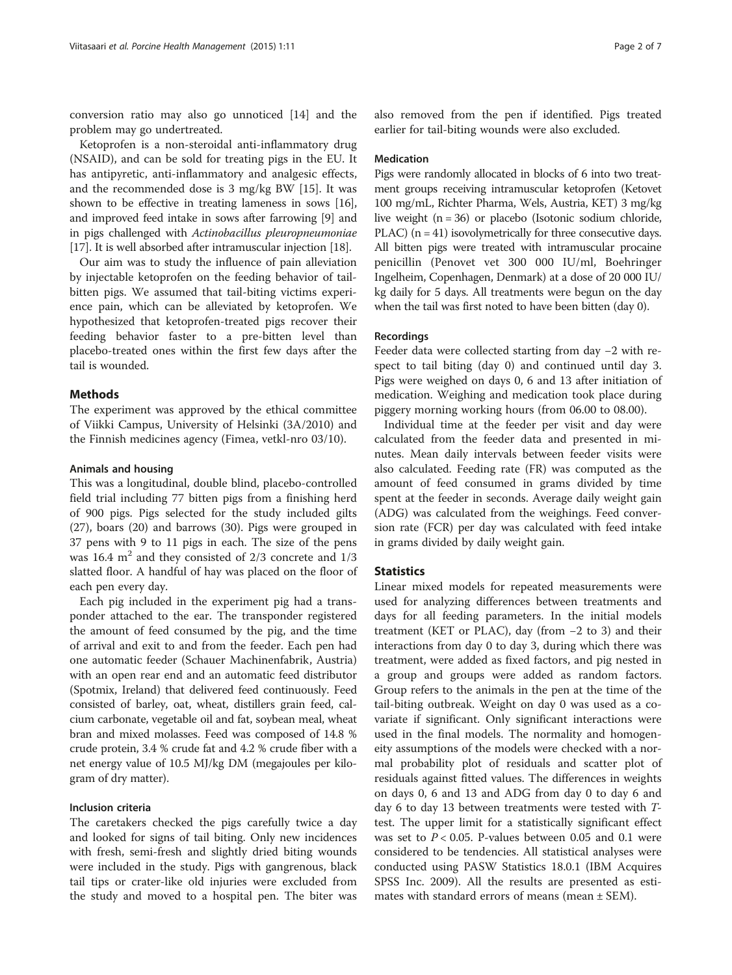conversion ratio may also go unnoticed [[14\]](#page-5-0) and the problem may go undertreated.

Ketoprofen is a non-steroidal anti-inflammatory drug (NSAID), and can be sold for treating pigs in the EU. It has antipyretic, anti-inflammatory and analgesic effects, and the recommended dose is 3 mg/kg BW [[15](#page-5-0)]. It was shown to be effective in treating lameness in sows [[16](#page-5-0)], and improved feed intake in sows after farrowing [\[9](#page-5-0)] and in pigs challenged with Actinobacillus pleuropneumoniae [[17](#page-5-0)]. It is well absorbed after intramuscular injection [\[18\]](#page-5-0).

Our aim was to study the influence of pain alleviation by injectable ketoprofen on the feeding behavior of tailbitten pigs. We assumed that tail-biting victims experience pain, which can be alleviated by ketoprofen. We hypothesized that ketoprofen-treated pigs recover their feeding behavior faster to a pre-bitten level than placebo-treated ones within the first few days after the tail is wounded.

## **Mathods**

The experiment was approved by the ethical committee of Viikki Campus, University of Helsinki (3A/2010) and the Finnish medicines agency (Fimea, vetkl-nro 03/10).

#### Animals and housing

This was a longitudinal, double blind, placebo-controlled field trial including 77 bitten pigs from a finishing herd of 900 pigs. Pigs selected for the study included gilts (27), boars (20) and barrows (30). Pigs were grouped in 37 pens with 9 to 11 pigs in each. The size of the pens was  $16.4 \text{ m}^2$  and they consisted of  $2/3$  concrete and  $1/3$ slatted floor. A handful of hay was placed on the floor of each pen every day.

Each pig included in the experiment pig had a transponder attached to the ear. The transponder registered the amount of feed consumed by the pig, and the time of arrival and exit to and from the feeder. Each pen had one automatic feeder (Schauer Machinenfabrik, Austria) with an open rear end and an automatic feed distributor (Spotmix, Ireland) that delivered feed continuously. Feed consisted of barley, oat, wheat, distillers grain feed, calcium carbonate, vegetable oil and fat, soybean meal, wheat bran and mixed molasses. Feed was composed of 14.8 % crude protein, 3.4 % crude fat and 4.2 % crude fiber with a net energy value of 10.5 MJ/kg DM (megajoules per kilogram of dry matter).

## Inclusion criteria

The caretakers checked the pigs carefully twice a day and looked for signs of tail biting. Only new incidences with fresh, semi-fresh and slightly dried biting wounds were included in the study. Pigs with gangrenous, black tail tips or crater-like old injuries were excluded from the study and moved to a hospital pen. The biter was also removed from the pen if identified. Pigs treated earlier for tail-biting wounds were also excluded.

#### Medication

Pigs were randomly allocated in blocks of 6 into two treatment groups receiving intramuscular ketoprofen (Ketovet 100 mg/mL, Richter Pharma, Wels, Austria, KET) 3 mg/kg live weight  $(n = 36)$  or placebo (Isotonic sodium chloride, PLAC)  $(n = 41)$  isovolymetrically for three consecutive days. All bitten pigs were treated with intramuscular procaine penicillin (Penovet vet 300 000 IU/ml, Boehringer Ingelheim, Copenhagen, Denmark) at a dose of 20 000 IU/ kg daily for 5 days. All treatments were begun on the day when the tail was first noted to have been bitten (day 0).

#### **Recordings**

Feeder data were collected starting from day −2 with respect to tail biting (day 0) and continued until day 3. Pigs were weighed on days 0, 6 and 13 after initiation of medication. Weighing and medication took place during piggery morning working hours (from 06.00 to 08.00).

Individual time at the feeder per visit and day were calculated from the feeder data and presented in minutes. Mean daily intervals between feeder visits were also calculated. Feeding rate (FR) was computed as the amount of feed consumed in grams divided by time spent at the feeder in seconds. Average daily weight gain (ADG) was calculated from the weighings. Feed conversion rate (FCR) per day was calculated with feed intake in grams divided by daily weight gain.

### **Statistics**

Linear mixed models for repeated measurements were used for analyzing differences between treatments and days for all feeding parameters. In the initial models treatment (KET or PLAC), day (from −2 to 3) and their interactions from day 0 to day 3, during which there was treatment, were added as fixed factors, and pig nested in a group and groups were added as random factors. Group refers to the animals in the pen at the time of the tail-biting outbreak. Weight on day 0 was used as a covariate if significant. Only significant interactions were used in the final models. The normality and homogeneity assumptions of the models were checked with a normal probability plot of residuals and scatter plot of residuals against fitted values. The differences in weights on days 0, 6 and 13 and ADG from day 0 to day 6 and day 6 to day 13 between treatments were tested with Ttest. The upper limit for a statistically significant effect was set to  $P < 0.05$ . P-values between 0.05 and 0.1 were considered to be tendencies. All statistical analyses were conducted using PASW Statistics 18.0.1 (IBM Acquires SPSS Inc. 2009). All the results are presented as estimates with standard errors of means (mean ± SEM).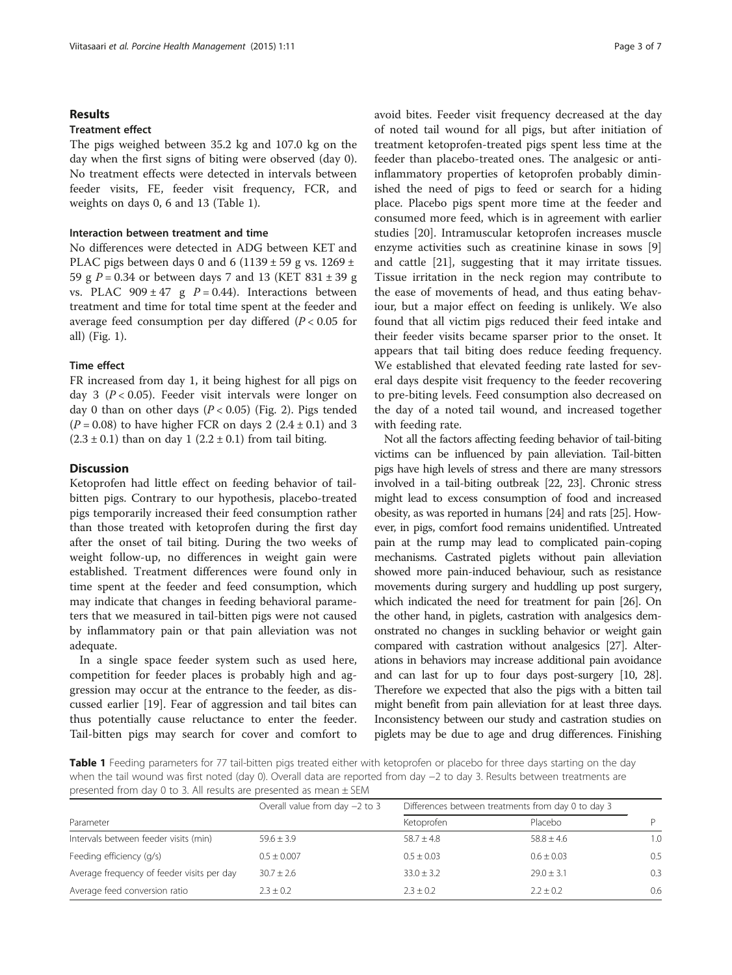#### Results

## Treatment effect

The pigs weighed between 35.2 kg and 107.0 kg on the day when the first signs of biting were observed (day 0). No treatment effects were detected in intervals between feeder visits, FE, feeder visit frequency, FCR, and weights on days 0, 6 and 13 (Table 1).

#### Interaction between treatment and time

No differences were detected in ADG between KET and PLAC pigs between days 0 and 6 (1139  $\pm$  59 g vs. 1269  $\pm$ 59 g  $P = 0.34$  or between days 7 and 13 (KET 831 ± 39 g vs. PLAC  $909 \pm 47$  g  $P = 0.44$ ). Interactions between treatment and time for total time spent at the feeder and average feed consumption per day differed  $(P < 0.05$  for all) (Fig. [1\)](#page-3-0).

## Time effect

FR increased from day 1, it being highest for all pigs on day 3 ( $P < 0.05$ ). Feeder visit intervals were longer on day 0 than on other days ( $P < 0.05$ ) (Fig. [2\)](#page-4-0). Pigs tended  $(P = 0.08)$  to have higher FCR on days 2 (2.4  $\pm$  0.1) and 3  $(2.3 \pm 0.1)$  than on day 1  $(2.2 \pm 0.1)$  from tail biting.

## **Discussion**

Ketoprofen had little effect on feeding behavior of tailbitten pigs. Contrary to our hypothesis, placebo-treated pigs temporarily increased their feed consumption rather than those treated with ketoprofen during the first day after the onset of tail biting. During the two weeks of weight follow-up, no differences in weight gain were established. Treatment differences were found only in time spent at the feeder and feed consumption, which may indicate that changes in feeding behavioral parameters that we measured in tail-bitten pigs were not caused by inflammatory pain or that pain alleviation was not adequate.

In a single space feeder system such as used here, competition for feeder places is probably high and aggression may occur at the entrance to the feeder, as discussed earlier [[19\]](#page-5-0). Fear of aggression and tail bites can thus potentially cause reluctance to enter the feeder. Tail-bitten pigs may search for cover and comfort to avoid bites. Feeder visit frequency decreased at the day of noted tail wound for all pigs, but after initiation of treatment ketoprofen-treated pigs spent less time at the feeder than placebo-treated ones. The analgesic or antiinflammatory properties of ketoprofen probably diminished the need of pigs to feed or search for a hiding place. Placebo pigs spent more time at the feeder and consumed more feed, which is in agreement with earlier studies [\[20\]](#page-5-0). Intramuscular ketoprofen increases muscle enzyme activities such as creatinine kinase in sows [\[9](#page-5-0)] and cattle [\[21\]](#page-5-0), suggesting that it may irritate tissues. Tissue irritation in the neck region may contribute to the ease of movements of head, and thus eating behaviour, but a major effect on feeding is unlikely. We also found that all victim pigs reduced their feed intake and their feeder visits became sparser prior to the onset. It appears that tail biting does reduce feeding frequency. We established that elevated feeding rate lasted for several days despite visit frequency to the feeder recovering to pre-biting levels. Feed consumption also decreased on the day of a noted tail wound, and increased together with feeding rate.

Not all the factors affecting feeding behavior of tail-biting victims can be influenced by pain alleviation. Tail-bitten pigs have high levels of stress and there are many stressors involved in a tail-biting outbreak [\[22, 23](#page-5-0)]. Chronic stress might lead to excess consumption of food and increased obesity, as was reported in humans [\[24\]](#page-5-0) and rats [\[25\]](#page-5-0). However, in pigs, comfort food remains unidentified. Untreated pain at the rump may lead to complicated pain-coping mechanisms. Castrated piglets without pain alleviation showed more pain-induced behaviour, such as resistance movements during surgery and huddling up post surgery, which indicated the need for treatment for pain [\[26\]](#page-5-0). On the other hand, in piglets, castration with analgesics demonstrated no changes in suckling behavior or weight gain compared with castration without analgesics [\[27](#page-6-0)]. Alterations in behaviors may increase additional pain avoidance and can last for up to four days post-surgery [\[10,](#page-5-0) [28](#page-6-0)]. Therefore we expected that also the pigs with a bitten tail might benefit from pain alleviation for at least three days. Inconsistency between our study and castration studies on piglets may be due to age and drug differences. Finishing

Table 1 Feeding parameters for 77 tail-bitten pigs treated either with ketoprofen or placebo for three days starting on the day when the tail wound was first noted (day 0). Overall data are reported from day −2 to day 3. Results between treatments are presented from day 0 to 3. All results are presented as mean ± SEM

| Parameter                                  | Overall value from day $-2$ to 3 | Differences between treatments from day 0 to day 3 |                |     |
|--------------------------------------------|----------------------------------|----------------------------------------------------|----------------|-----|
|                                            |                                  | Ketoprofen                                         | Placebo        |     |
| Intervals between feeder visits (min)      | $59.6 \pm 3.9$                   | $58.7 \pm 4.8$                                     | $58.8 \pm 4.6$ | 1.0 |
| Feeding efficiency (g/s)                   | $0.5 \pm 0.007$                  | $0.5 \pm 0.03$                                     | $0.6 \pm 0.03$ | 0.5 |
| Average frequency of feeder visits per day | $30.7 \pm 2.6$                   | $33.0 \pm 3.2$                                     | $29.0 \pm 3.1$ | 0.3 |
| Average feed conversion ratio              | $2.3 \pm 0.2$                    | $2.3 \pm 0.2$                                      | $2.2 + 0.2$    | 0.6 |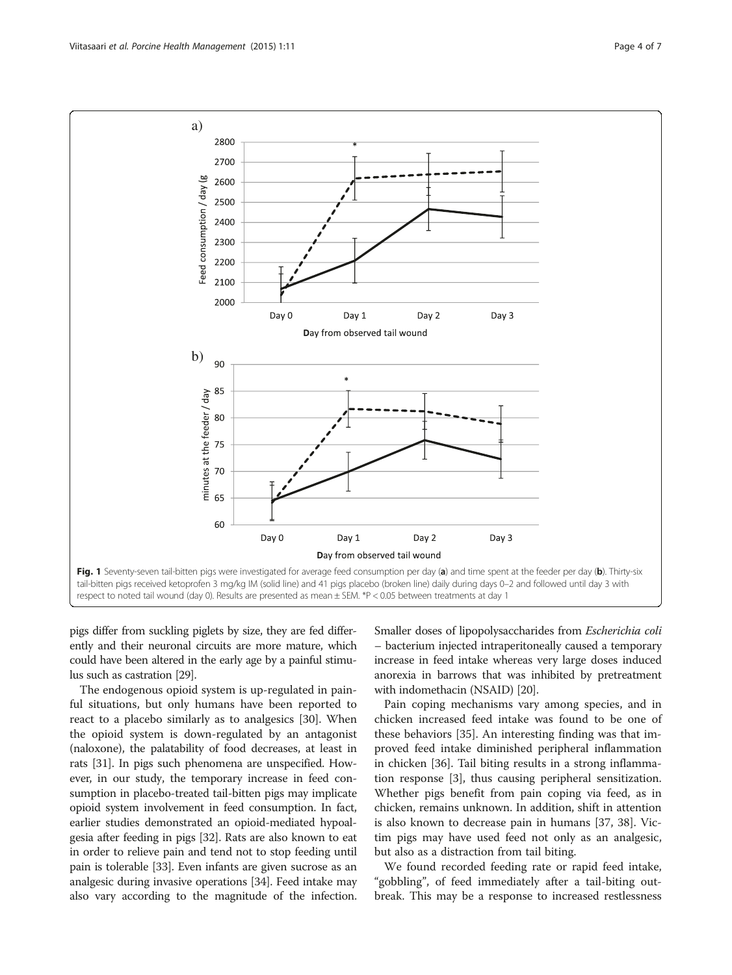<span id="page-3-0"></span>

pigs differ from suckling piglets by size, they are fed differently and their neuronal circuits are more mature, which could have been altered in the early age by a painful stimulus such as castration [[29](#page-6-0)].

The endogenous opioid system is up-regulated in painful situations, but only humans have been reported to react to a placebo similarly as to analgesics [\[30](#page-6-0)]. When the opioid system is down-regulated by an antagonist (naloxone), the palatability of food decreases, at least in rats [\[31\]](#page-6-0). In pigs such phenomena are unspecified. However, in our study, the temporary increase in feed consumption in placebo-treated tail-bitten pigs may implicate opioid system involvement in feed consumption. In fact, earlier studies demonstrated an opioid-mediated hypoalgesia after feeding in pigs [\[32\]](#page-6-0). Rats are also known to eat in order to relieve pain and tend not to stop feeding until pain is tolerable [\[33\]](#page-6-0). Even infants are given sucrose as an analgesic during invasive operations [\[34\]](#page-6-0). Feed intake may also vary according to the magnitude of the infection.

Smaller doses of lipopolysaccharides from Escherichia coli – bacterium injected intraperitoneally caused a temporary increase in feed intake whereas very large doses induced anorexia in barrows that was inhibited by pretreatment with indomethacin (NSAID) [[20](#page-5-0)].

Pain coping mechanisms vary among species, and in chicken increased feed intake was found to be one of these behaviors [\[35\]](#page-6-0). An interesting finding was that improved feed intake diminished peripheral inflammation in chicken [[36\]](#page-6-0). Tail biting results in a strong inflammation response [[3](#page-5-0)], thus causing peripheral sensitization. Whether pigs benefit from pain coping via feed, as in chicken, remains unknown. In addition, shift in attention is also known to decrease pain in humans [\[37, 38\]](#page-6-0). Victim pigs may have used feed not only as an analgesic, but also as a distraction from tail biting.

We found recorded feeding rate or rapid feed intake, "gobbling", of feed immediately after a tail-biting outbreak. This may be a response to increased restlessness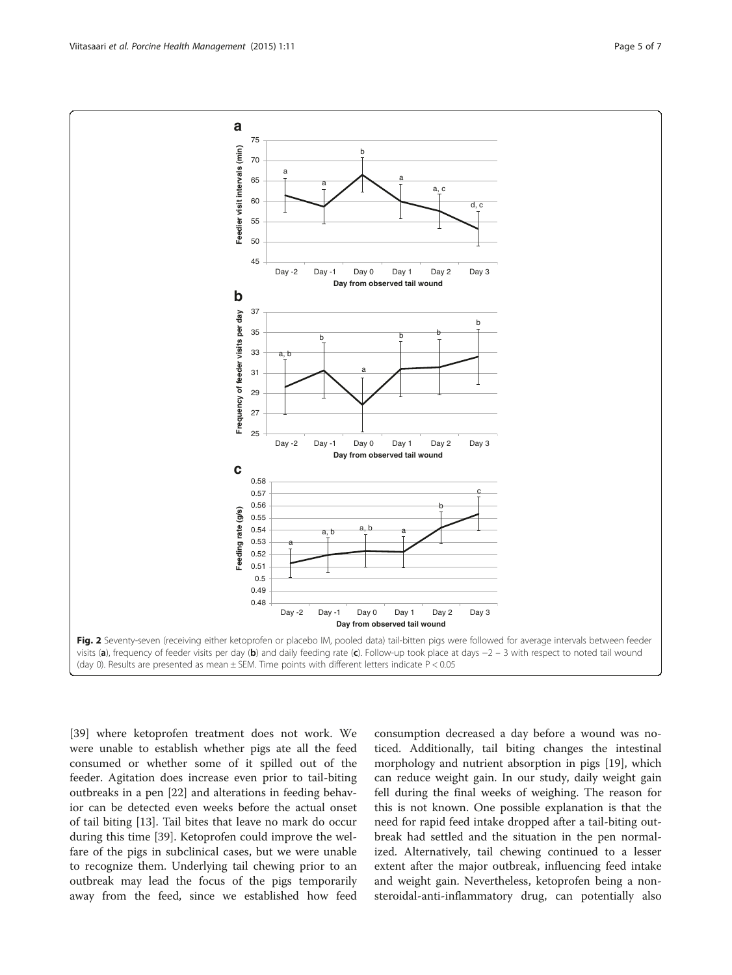<span id="page-4-0"></span>

[[39\]](#page-6-0) where ketoprofen treatment does not work. We were unable to establish whether pigs ate all the feed consumed or whether some of it spilled out of the feeder. Agitation does increase even prior to tail-biting outbreaks in a pen [[22](#page-5-0)] and alterations in feeding behavior can be detected even weeks before the actual onset of tail biting [[13\]](#page-5-0). Tail bites that leave no mark do occur during this time [[39](#page-6-0)]. Ketoprofen could improve the welfare of the pigs in subclinical cases, but we were unable to recognize them. Underlying tail chewing prior to an outbreak may lead the focus of the pigs temporarily away from the feed, since we established how feed

consumption decreased a day before a wound was noticed. Additionally, tail biting changes the intestinal morphology and nutrient absorption in pigs [\[19](#page-5-0)], which can reduce weight gain. In our study, daily weight gain fell during the final weeks of weighing. The reason for this is not known. One possible explanation is that the need for rapid feed intake dropped after a tail-biting outbreak had settled and the situation in the pen normalized. Alternatively, tail chewing continued to a lesser extent after the major outbreak, influencing feed intake and weight gain. Nevertheless, ketoprofen being a nonsteroidal-anti-inflammatory drug, can potentially also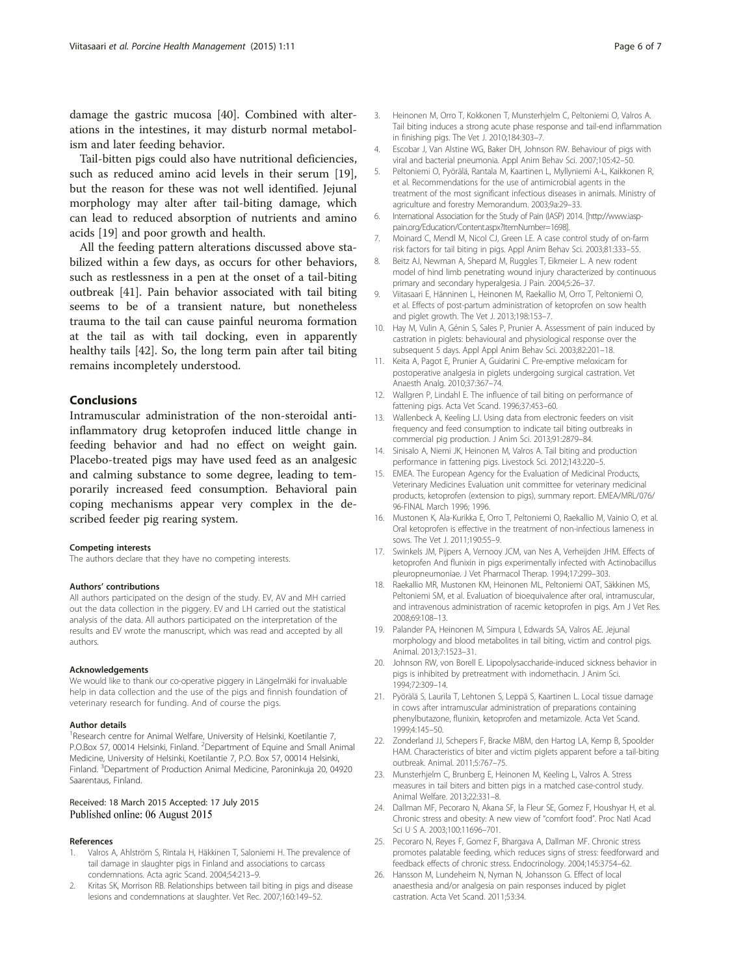<span id="page-5-0"></span>damage the gastric mucosa [[40\]](#page-6-0). Combined with alterations in the intestines, it may disturb normal metabolism and later feeding behavior.

Tail-bitten pigs could also have nutritional deficiencies, such as reduced amino acid levels in their serum [19], but the reason for these was not well identified. Jejunal morphology may alter after tail-biting damage, which can lead to reduced absorption of nutrients and amino acids [19] and poor growth and health.

All the feeding pattern alterations discussed above stabilized within a few days, as occurs for other behaviors, such as restlessness in a pen at the onset of a tail-biting outbreak [\[41](#page-6-0)]. Pain behavior associated with tail biting seems to be of a transient nature, but nonetheless trauma to the tail can cause painful neuroma formation at the tail as with tail docking, even in apparently healthy tails [[42\]](#page-6-0). So, the long term pain after tail biting remains incompletely understood.

## Conclusions

Intramuscular administration of the non-steroidal antiinflammatory drug ketoprofen induced little change in feeding behavior and had no effect on weight gain. Placebo-treated pigs may have used feed as an analgesic and calming substance to some degree, leading to temporarily increased feed consumption. Behavioral pain coping mechanisms appear very complex in the described feeder pig rearing system.

#### Competing interests

The authors declare that they have no competing interests.

#### Authors' contributions

All authors participated on the design of the study. EV, AV and MH carried out the data collection in the piggery. EV and LH carried out the statistical analysis of the data. All authors participated on the interpretation of the results and EV wrote the manuscript, which was read and accepted by all authors.

#### Acknowledgements

We would like to thank our co-operative piggery in Längelmäki for invaluable help in data collection and the use of the pigs and finnish foundation of veterinary research for funding. And of course the pigs.

#### Author details

<sup>1</sup> Research centre for Animal Welfare, University of Helsinki, Koetilantie 7, P.O.Box 57, 00014 Helsinki, Finland. <sup>2</sup>Department of Equine and Small Animal Medicine, University of Helsinki, Koetilantie 7, P.O. Box 57, 00014 Helsinki, Finland. <sup>3</sup>Department of Production Animal Medicine, Paroninkuja 20, 04920 Saarentaus, Finland.

#### Received: 18 March 2015 Accepted: 17 July 2015 Published online: 06 August 2015

## References

- Valros A, Ahlström S, Rintala H, Häkkinen T, Saloniemi H. The prevalence of tail damage in slaughter pigs in Finland and associations to carcass condemnations. Acta agric Scand. 2004;54:213–9.
- 2. Kritas SK, Morrison RB. Relationships between tail biting in pigs and disease lesions and condemnations at slaughter. Vet Rec. 2007;160:149–52.
- 3. Heinonen M, Orro T, Kokkonen T, Munsterhjelm C, Peltoniemi O, Valros A. Tail biting induces a strong acute phase response and tail-end inflammation in finishing pigs. The Vet J. 2010;184:303–7.
- 4. Escobar J, Van Alstine WG, Baker DH, Johnson RW. Behaviour of pigs with viral and bacterial pneumonia. Appl Anim Behav Sci. 2007;105:42–50.
- 5. Peltoniemi O, Pyörälä, Rantala M, Kaartinen L, Myllyniemi A-L, Kaikkonen R, et al. Recommendations for the use of antimicrobial agents in the treatment of the most significant infectious diseases in animals. Ministry of agriculture and forestry Memorandum. 2003;9a:29–33.
- 6. International Association for the Study of Pain (IASP) 2014. [[http://www.iasp](http://www.iasp-pain.org/Education/Content.aspx?ItemNumber=1698)[pain.org/Education/Content.aspx?ItemNumber=1698\]](http://www.iasp-pain.org/Education/Content.aspx?ItemNumber=1698).
- 7. Moinard C, Mendl M, Nicol CJ, Green LE. A case control study of on-farm risk factors for tail biting in pigs. Appl Anim Behav Sci. 2003;81:333–55.
- 8. Beitz AJ, Newman A, Shepard M, Ruggles T, Eikmeier L. A new rodent model of hind limb penetrating wound injury characterized by continuous primary and secondary hyperalgesia. J Pain. 2004;5:26–37.
- 9. Viitasaari E, Hänninen L, Heinonen M, Raekallio M, Orro T, Peltoniemi O, et al. Effects of post-partum administration of ketoprofen on sow health and piglet growth. The Vet J. 2013;198:153–7.
- 10. Hay M, Vulin A, Génin S, Sales P, Prunier A. Assessment of pain induced by castration in piglets: behavioural and physiological response over the subsequent 5 days. Appl Appl Anim Behav Sci. 2003;82:201–18.
- 11. Keita A, Pagot E, Prunier A, Guidarini C. Pre-emptive meloxicam for postoperative analgesia in piglets undergoing surgical castration. Vet Anaesth Analg. 2010;37:367–74.
- 12. Wallgren P, Lindahl E. The influence of tail biting on performance of fattening pigs. Acta Vet Scand. 1996;37:453–60.
- 13. Wallenbeck A, Keeling LJ. Using data from electronic feeders on visit frequency and feed consumption to indicate tail biting outbreaks in commercial pig production. J Anim Sci. 2013;91:2879–84.
- 14. Sinisalo A, Niemi JK, Heinonen M, Valros A. Tail biting and production performance in fattening pigs. Livestock Sci. 2012;143:220–5.
- 15. EMEA. The European Agency for the Evaluation of Medicinal Products, Veterinary Medicines Evaluation unit committee for veterinary medicinal products, ketoprofen (extension to pigs), summary report. EMEA/MRL/076/ 96-FINAL March 1996; 1996.
- 16. Mustonen K, Ala-Kurikka E, Orro T, Peltoniemi O, Raekallio M, Vainio O, et al. Oral ketoprofen is effective in the treatment of non-infectious lameness in sows. The Vet J. 2011;190:55–9.
- 17. Swinkels JM, Pijpers A, Vernooy JCM, van Nes A, Verheijden JHM. Effects of ketoprofen And flunixin in pigs experimentally infected with Actinobacillus pleuropneumoniae. J Vet Pharmacol Therap. 1994;17:299–303.
- 18. Raekallio MR, Mustonen KM, Heinonen ML, Peltoniemi OAT, Säkkinen MS, Peltoniemi SM, et al. Evaluation of bioequivalence after oral, intramuscular, and intravenous administration of racemic ketoprofen in pigs. Am J Vet Res. 2008;69:108–13.
- 19. Palander PA, Heinonen M, Simpura I, Edwards SA, Valros AE. Jejunal morphology and blood metabolites in tail biting, victim and control pigs. Animal. 2013;7:1523–31.
- 20. Johnson RW, von Borell E. Lipopolysaccharide-induced sickness behavior in pigs is inhibited by pretreatment with indomethacin. J Anim Sci. 1994;72:309–14.
- 21. Pyörälä S, Laurila T, Lehtonen S, Leppä S, Kaartinen L. Local tissue damage in cows after intramuscular administration of preparations containing phenylbutazone, flunixin, ketoprofen and metamizole. Acta Vet Scand. 1999;4:145–50.
- 22. Zonderland JJ, Schepers F, Bracke MBM, den Hartog LA, Kemp B, Spoolder HAM. Characteristics of biter and victim piglets apparent before a tail-biting outbreak. Animal. 2011;5:767–75.
- 23. Munsterhjelm C, Brunberg E, Heinonen M, Keeling L, Valros A. Stress measures in tail biters and bitten pigs in a matched case-control study. Animal Welfare. 2013;22:331–8.
- 24. Dallman MF, Pecoraro N, Akana SF, la Fleur SE, Gomez F, Houshyar H, et al. Chronic stress and obesity: A new view of "comfort food". Proc Natl Acad Sci U S A. 2003;100:11696–701.
- 25. Pecoraro N, Reyes F, Gomez F, Bhargava A, Dallman MF. Chronic stress promotes palatable feeding, which reduces signs of stress: feedforward and feedback effects of chronic stress. Endocrinology. 2004;145:3754–62.
- 26. Hansson M, Lundeheim N, Nyman N, Johansson G. Effect of local anaesthesia and/or analgesia on pain responses induced by piglet castration. Acta Vet Scand. 2011;53:34.